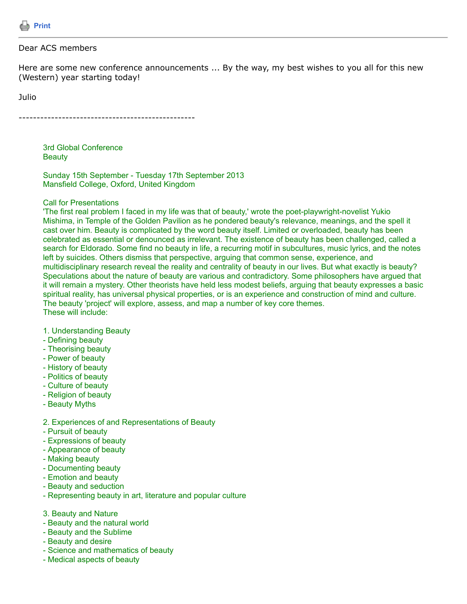

#### Dear ACS members

Here are some new conference announcements ... By the way, my best wishes to you all for this new (Western) year starting today!

Julio

-------------------------------------------------

3rd Global Conference **Beauty** 

Sunday 15th September - Tuesday 17th September 2013 Mansfield College, Oxford, United Kingdom

#### Call for Presentations

'The first real problem I faced in my life was that of beauty,' wrote the poet-playwright-novelist Yukio Mishima, in Temple of the Golden Pavilion as he pondered beauty's relevance, meanings, and the spell it cast over him. Beauty is complicated by the word beauty itself. Limited or overloaded, beauty has been celebrated as essential or denounced as irrelevant. The existence of beauty has been challenged, called a search for Eldorado. Some find no beauty in life, a recurring motif in subcultures, music lyrics, and the notes left by suicides. Others dismiss that perspective, arguing that common sense, experience, and multidisciplinary research reveal the reality and centrality of beauty in our lives. But what exactly is beauty? Speculations about the nature of beauty are various and contradictory. Some philosophers have argued that it will remain a mystery. Other theorists have held less modest beliefs, arguing that beauty expresses a basic spiritual reality, has universal physical properties, or is an experience and construction of mind and culture. The beauty 'project' will explore, assess, and map a number of key core themes. These will include:

- 1. Understanding Beauty
- Defining beauty
- Theorising beauty
- Power of beauty
- History of beauty
- Politics of beauty
- Culture of beauty
- Religion of beauty
- Beauty Myths

#### 2. Experiences of and Representations of Beauty

- Pursuit of beauty
- Expressions of beauty
- Appearance of beauty
- Making beauty
- Documenting beauty
- Emotion and beauty
- Beauty and seduction
- Representing beauty in art, literature and popular culture
- 3. Beauty and Nature
- Beauty and the natural world
- Beauty and the Sublime
- Beauty and desire
- Science and mathematics of beauty
- Medical aspects of beauty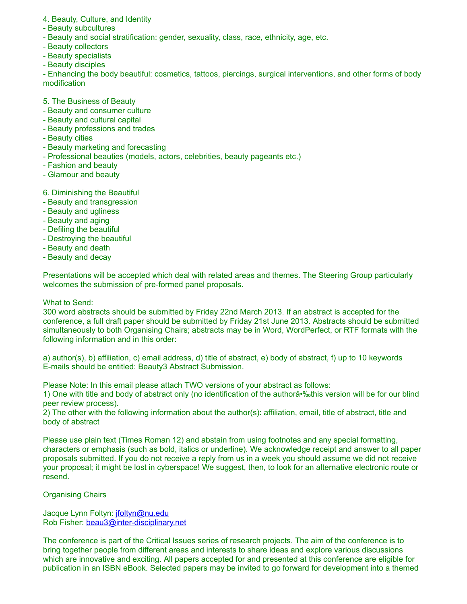- 4. Beauty, Culture, and Identity
- Beauty subcultures
- Beauty and social stratification: gender, sexuality, class, race, ethnicity, age, etc.
- Beauty collectors
- Beauty specialists
- Beauty disciples

- Enhancing the body beautiful: cosmetics, tattoos, piercings, surgical interventions, and other forms of body modification

- 5. The Business of Beauty
- Beauty and consumer culture
- Beauty and cultural capital
- Beauty professions and trades
- Beauty cities
- Beauty marketing and forecasting
- Professional beauties (models, actors, celebrities, beauty pageants etc.)
- Fashion and beauty
- Glamour and beauty

6. Diminishing the Beautiful

- Beauty and transgression
- Beauty and ugliness
- Beauty and aging
- Defiling the beautiful
- Destroying the beautiful
- Beauty and death
- Beauty and decay

Presentations will be accepted which deal with related areas and themes. The Steering Group particularly welcomes the submission of pre-formed panel proposals.

### What to Send:

300 word abstracts should be submitted by Friday 22nd March 2013. If an abstract is accepted for the conference, a full draft paper should be submitted by Friday 21st June 2013. Abstracts should be submitted simultaneously to both Organising Chairs; abstracts may be in Word, WordPerfect, or RTF formats with the following information and in this order:

a) author(s), b) affiliation, c) email address, d) title of abstract, e) body of abstract, f) up to 10 keywords E-mails should be entitled: Beauty3 Abstract Submission.

Please Note: In this email please attach TWO versions of your abstract as follows:

1) One with title and body of abstract only (no identification of the author a<sup>-9</sup> whis version will be for our blind peer review process).

2) The other with the following information about the author(s): affiliation, email, title of abstract, title and body of abstract

Please use plain text (Times Roman 12) and abstain from using footnotes and any special formatting, characters or emphasis (such as bold, italics or underline). We acknowledge receipt and answer to all paper proposals submitted. If you do not receive a reply from us in a week you should assume we did not receive your proposal; it might be lost in cyberspace! We suggest, then, to look for an alternative electronic route or resend.

## Organising Chairs

Jacque Lynn Foltyn: [jfoltyn@nu.edu](https://listserv.tamu.edu/cgi-bin/jfoltyn@nu.edu) Rob Fisher: [beau3@inter-disciplinary.net](https://listserv.tamu.edu/cgi-bin/beau3@inter-disciplinary.net)

The conference is part of the Critical Issues series of research projects. The aim of the conference is to bring together people from different areas and interests to share ideas and explore various discussions which are innovative and exciting. All papers accepted for and presented at this conference are eligible for publication in an ISBN eBook. Selected papers may be invited to go forward for development into a themed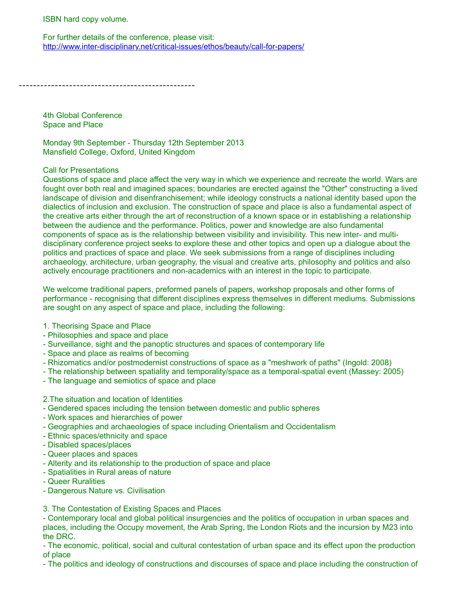ISBN hard copy volume.

For further details of the conference, please visit: <http://www.inter-disciplinary.net/critical-issues/ethos/beauty/call-for-papers/>

-------------------------------------------------

4th Global Conference Space and Place

Monday 9th September - Thursday 12th September 2013 Mansfield College, Oxford, United Kingdom

#### Call for Presentations

Questions of space and place affect the very way in which we experience and recreate the world. Wars are fought over both real and imagined spaces; boundaries are erected against the "Other" constructing a lived landscape of division and disenfranchisement; while ideology constructs a national identity based upon the dialectics of inclusion and exclusion. The construction of space and place is also a fundamental aspect of the creative arts either through the art of reconstruction of a known space or in establishing a relationship between the audience and the performance. Politics, power and knowledge are also fundamental components of space as is the relationship between visibility and invisibility. This new inter- and multidisciplinary conference project seeks to explore these and other topics and open up a dialogue about the politics and practices of space and place. We seek submissions from a range of disciplines including archaeology, architecture, urban geography, the visual and creative arts, philosophy and politics and also actively encourage practitioners and non-academics with an interest in the topic to participate.

We welcome traditional papers, preformed panels of papers, workshop proposals and other forms of performance - recognising that different disciplines express themselves in different mediums. Submissions are sought on any aspect of space and place, including the following:

#### 1. Theorising Space and Place

- Philosophies and space and place
- Surveillance, sight and the panoptic structures and spaces of contemporary life
- Space and place as realms of becoming
- Rhizomatics and/or postmodernist constructions of space as a "meshwork of paths" (Ingold: 2008)
- The relationship between spatiality and temporality/space as a temporal-spatial event (Massey: 2005)
- The language and semiotics of space and place
- 2.The situation and location of Identities
- Gendered spaces including the tension between domestic and public spheres
- Work spaces and hierarchies of power
- Geographies and archaeologies of space including Orientalism and Occidentalism
- Ethnic spaces/ethnicity and space
- Disabled spaces/places
- Queer places and spaces
- Alterity and its relationship to the production of space and place
- Spatialities in Rural areas of nature
- Queer Ruralities
- Dangerous Nature vs. Civilisation

## 3. The Contestation of Existing Spaces and Places

- Contemporary local and global political insurgencies and the politics of occupation in urban spaces and places, including the Occupy movement, the Arab Spring, the London Riots and the incursion by M23 into the DRC.

- The economic, political, social and cultural contestation of urban space and its effect upon the production of place

- The politics and ideology of constructions and discourses of space and place including the construction of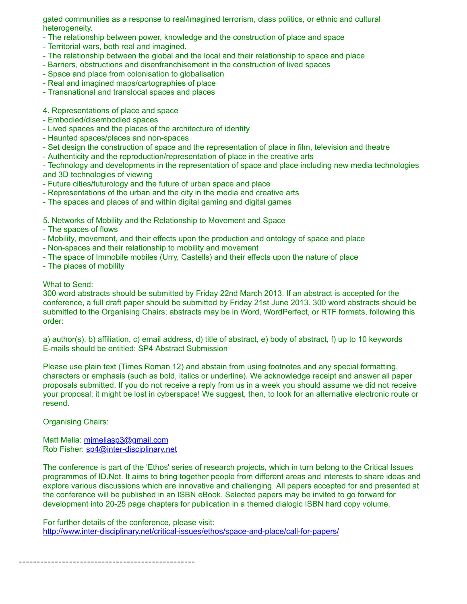gated communities as a response to real/imagined terrorism, class politics, or ethnic and cultural heterogeneity.

- The relationship between power, knowledge and the construction of place and space
- Territorial wars, both real and imagined.
- The relationship between the global and the local and their relationship to space and place
- Barriers, obstructions and disenfranchisement in the construction of lived spaces
- Space and place from colonisation to globalisation
- Real and imagined maps/cartographies of place
- Transnational and translocal spaces and places

# 4. Representations of place and space

- Embodied/disembodied spaces
- Lived spaces and the places of the architecture of identity
- Haunted spaces/places and non-spaces
- Set design the construction of space and the representation of place in film, television and theatre
- Authenticity and the reproduction/representation of place in the creative arts

- Technology and developments in the representation of space and place including new media technologies and 3D technologies of viewing

- Future cities/futurology and the future of urban space and place
- Representations of the urban and the city in the media and creative arts
- The spaces and places of and within digital gaming and digital games

5. Networks of Mobility and the Relationship to Movement and Space

- The spaces of flows
- Mobility, movement, and their effects upon the production and ontology of space and place
- Non-spaces and their relationship to mobility and movement
- The space of Immobile mobiles (Urry, Castells) and their effects upon the nature of place
- The places of mobility

## What to Send:

300 word abstracts should be submitted by Friday 22nd March 2013. If an abstract is accepted for the conference, a full draft paper should be submitted by Friday 21st June 2013. 300 word abstracts should be submitted to the Organising Chairs; abstracts may be in Word, WordPerfect, or RTF formats, following this order:

a) author(s), b) affiliation, c) email address, d) title of abstract, e) body of abstract, f) up to 10 keywords E-mails should be entitled: SP4 Abstract Submission

Please use plain text (Times Roman 12) and abstain from using footnotes and any special formatting, characters or emphasis (such as bold, italics or underline). We acknowledge receipt and answer all paper proposals submitted. If you do not receive a reply from us in a week you should assume we did not receive your proposal; it might be lost in cyberspace! We suggest, then, to look for an alternative electronic route or resend.

Organising Chairs:

Matt Melia: mimeliasp3@gmail.com Rob Fisher: [sp4@inter-disciplinary.net](https://listserv.tamu.edu/cgi-bin/sp4@inter-disciplinary.net)

The conference is part of the 'Ethos' series of research projects, which in turn belong to the Critical Issues programmes of ID.Net. It aims to bring together people from different areas and interests to share ideas and explore various discussions which are innovative and challenging. All papers accepted for and presented at the conference will be published in an ISBN eBook. Selected papers may be invited to go forward for development into 20-25 page chapters for publication in a themed dialogic ISBN hard copy volume.

For further details of the conference, please visit: <http://www.inter-disciplinary.net/critical-issues/ethos/space-and-place/call-for-papers/>

-------------------------------------------------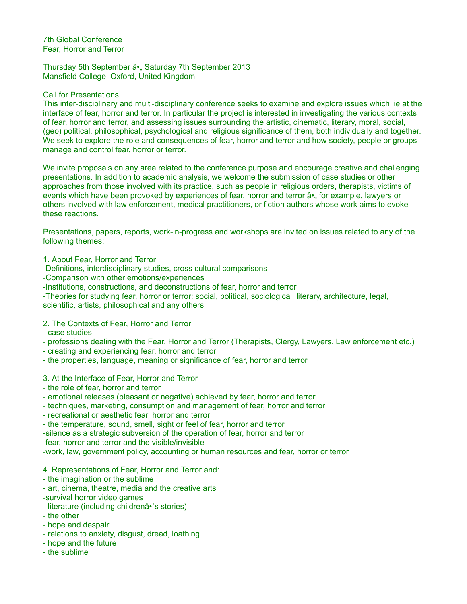7th Global Conference Fear, Horror and Terror

Thursday 5th September â•, Saturday 7th September 2013 Mansfield College, Oxford, United Kingdom

#### Call for Presentations

This inter-disciplinary and multi-disciplinary conference seeks to examine and explore issues which lie at the interface of fear, horror and terror. In particular the project is interested in investigating the various contexts of fear, horror and terror, and assessing issues surrounding the artistic, cinematic, literary, moral, social, (geo) political, philosophical, psychological and religious significance of them, both individually and together. We seek to explore the role and consequences of fear, horror and terror and how society, people or groups manage and control fear, horror or terror.

We invite proposals on any area related to the conference purpose and encourage creative and challenging presentations. In addition to academic analysis, we welcome the submission of case studies or other approaches from those involved with its practice, such as people in religious orders, therapists, victims of events which have been provoked by experiences of fear, horror and terror  $\hat{a}^*$  for example, lawyers or others involved with law enforcement, medical practitioners, or fiction authors whose work aims to evoke these reactions.

Presentations, papers, reports, work-in-progress and workshops are invited on issues related to any of the following themes:

1. About Fear, Horror and Terror

-Definitions, interdisciplinary studies, cross cultural comparisons

-Comparison with other emotions/experiences

-Institutions, constructions, and deconstructions of fear, horror and terror

-Theories for studying fear, horror or terror: social, political, sociological, literary, architecture, legal, scientific, artists, philosophical and any others

2. The Contexts of Fear, Horror and Terror

- case studies
- professions dealing with the Fear, Horror and Terror (Therapists, Clergy, Lawyers, Law enforcement etc.)
- creating and experiencing fear, horror and terror
- the properties, language, meaning or significance of fear, horror and terror
- 3. At the Interface of Fear, Horror and Terror
- the role of fear, horror and terror
- emotional releases (pleasant or negative) achieved by fear, horror and terror
- techniques, marketing, consumption and management of fear, horror and terror
- recreational or aesthetic fear, horror and terror
- the temperature, sound, smell, sight or feel of fear, horror and terror

-silence as a strategic subversion of the operation of fear, horror and terror

-fear, horror and terror and the visible/invisible

-work, law, government policy, accounting or human resources and fear, horror or terror

- 4. Representations of Fear, Horror and Terror and:
- the imagination or the sublime
- art, cinema, theatre, media and the creative arts -survival horror video games
- literature (including childrenâ•˙s stories)
- the other
- hope and despair
- relations to anxiety, disgust, dread, loathing
- hope and the future
- the sublime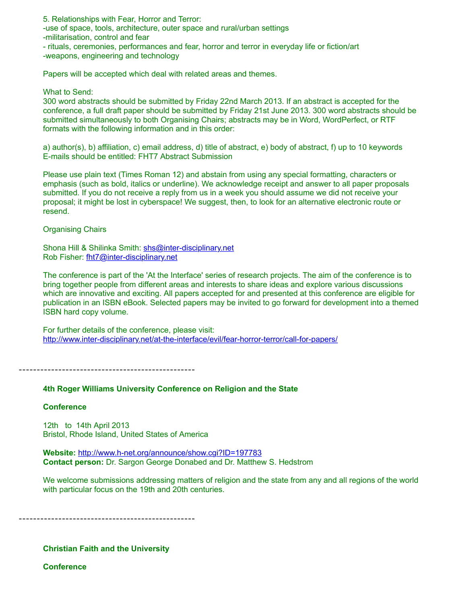5. Relationships with Fear, Horror and Terror:

-use of space, tools, architecture, outer space and rural/urban settings

-militarisation, control and fear

- rituals, ceremonies, performances and fear, horror and terror in everyday life or fiction/art -weapons, engineering and technology

Papers will be accepted which deal with related areas and themes.

What to Send:

300 word abstracts should be submitted by Friday 22nd March 2013. If an abstract is accepted for the conference, a full draft paper should be submitted by Friday 21st June 2013. 300 word abstracts should be submitted simultaneously to both Organising Chairs; abstracts may be in Word, WordPerfect, or RTF formats with the following information and in this order:

a) author(s), b) affiliation, c) email address, d) title of abstract, e) body of abstract, f) up to 10 keywords E-mails should be entitled: FHT7 Abstract Submission

Please use plain text (Times Roman 12) and abstain from using any special formatting, characters or emphasis (such as bold, italics or underline). We acknowledge receipt and answer to all paper proposals submitted. If you do not receive a reply from us in a week you should assume we did not receive your proposal; it might be lost in cyberspace! We suggest, then, to look for an alternative electronic route or resend.

Organising Chairs

Shona Hill & Shilinka Smith: [shs@inter-disciplinary.net](https://listserv.tamu.edu/cgi-bin/shs@inter-disciplinary.net) Rob Fisher: [fht7@inter-disciplinary.net](https://listserv.tamu.edu/cgi-bin/fht7@inter-disciplinary.net)

The conference is part of the 'At the Interface' series of research projects. The aim of the conference is to bring together people from different areas and interests to share ideas and explore various discussions which are innovative and exciting. All papers accepted for and presented at this conference are eligible for publication in an ISBN eBook. Selected papers may be invited to go forward for development into a themed ISBN hard copy volume.

For further details of the conference, please visit: <http://www.inter-disciplinary.net/at-the-interface/evil/fear-horror-terror/call-for-papers/>

-------------------------------------------------

## **4th Roger Williams University Conference on Religion and the State**

## **Conference**

12th to 14th April 2013 Bristol, Rhode Island, United States of America

**Website:** <http://www.h-net.org/announce/show.cgi?ID=197783> **Contact person:** Dr. Sargon George Donabed and Dr. Matthew S. Hedstrom

We welcome submissions addressing matters of religion and the state from any and all regions of the world with particular focus on the 19th and 20th centuries.

-------------------------------------------------

**Christian Faith and the University**

**Conference**